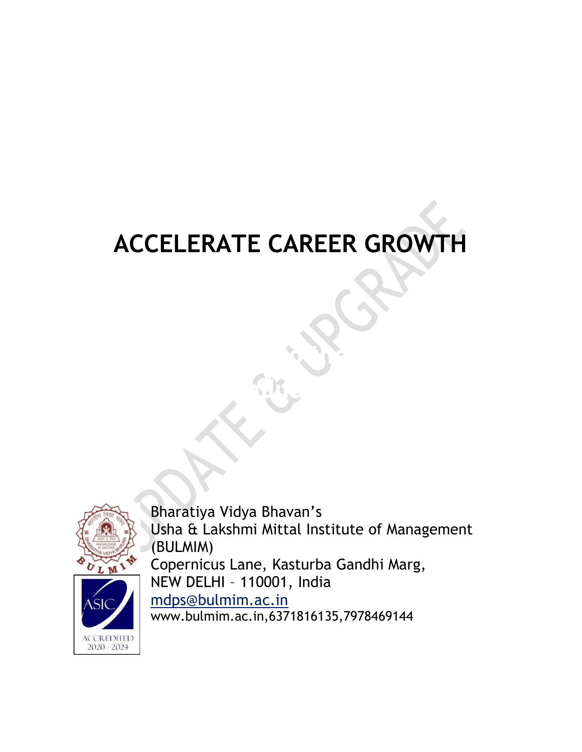# ACCELERATE CAREER GROWTH

Align your Skills to the new Skills to the new Skills to the new Skills to the new Skills to the new Skills to

industry.



Bharatiya Vidya Bhavan's Usha & Lakshmi Mittal Institute of Management (BULMIM) Copernicus Lane, Kasturba Gandhi Marg, NEW DELHI – 110001, India mdps@bulmim.ac.in

www.bulmim.ac.in,6371816135,7978469144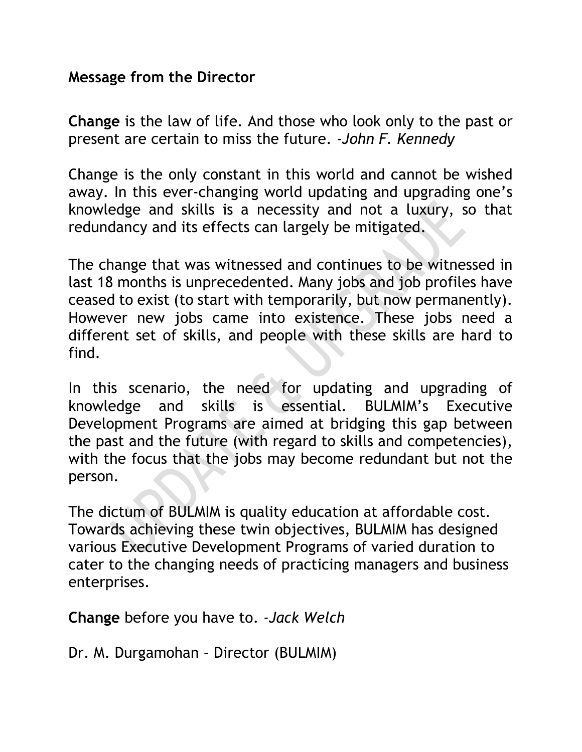#### Message from the Director

Change is the law of life. And those who look only to the past or present are certain to miss the future. -John F. Kennedy

Change is the only constant in this world and cannot be wished away. In this ever-changing world updating and upgrading one's knowledge and skills is a necessity and not a luxury, so that redundancy and its effects can largely be mitigated.

The change that was witnessed and continues to be witnessed in last 18 months is unprecedented. Many jobs and job profiles have ceased to exist (to start with temporarily, but now permanently). However new jobs came into existence. These jobs need a different set of skills, and people with these skills are hard to find.

In this scenario, the need for updating and upgrading of knowledge and skills is essential. BULMIM's Executive Development Programs are aimed at bridging this gap between the past and the future (with regard to skills and competencies), with the focus that the jobs may become redundant but not the person.

The dictum of BULMIM is quality education at affordable cost. Towards achieving these twin objectives, BULMIM has designed various Executive Development Programs of varied duration to cater to the changing needs of practicing managers and business enterprises.

Change before you have to. -Jack Welch

Dr. M. Durgamohan – Director (BULMIM)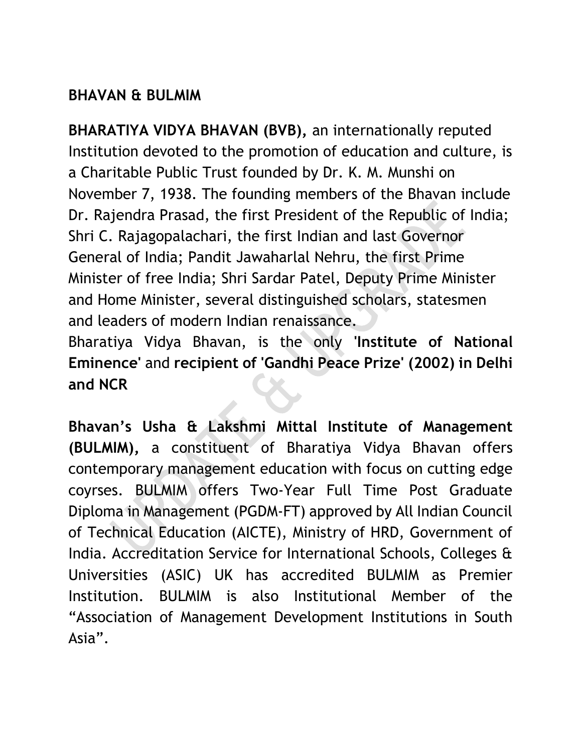### BHAVAN & BULMIM

BHARATIYA VIDYA BHAVAN (BVB), an internationally reputed Institution devoted to the promotion of education and culture, is a Charitable Public Trust founded by Dr. K. M. Munshi on November 7, 1938. The founding members of the Bhavan include Dr. Rajendra Prasad, the first President of the Republic of India; Shri C. Rajagopalachari, the first Indian and last Governor General of India; Pandit Jawaharlal Nehru, the first Prime Minister of free India; Shri Sardar Patel, Deputy Prime Minister and Home Minister, several distinguished scholars, statesmen and leaders of modern Indian renaissance.

Bharatiya Vidya Bhavan, is the only 'Institute of National Eminence' and recipient of 'Gandhi Peace Prize' (2002) in Delhi and NCR

Bhavan's Usha & Lakshmi Mittal Institute of Management (BULMIM), a constituent of Bharatiya Vidya Bhavan offers contemporary management education with focus on cutting edge coyrses. BULMIM offers Two-Year Full Time Post Graduate Diploma in Management (PGDM-FT) approved by All Indian Council of Technical Education (AICTE), Ministry of HRD, Government of India. Accreditation Service for International Schools, Colleges & Universities (ASIC) UK has accredited BULMIM as Premier Institution. BULMIM is also Institutional Member of the "Association of Management Development Institutions in South Asia".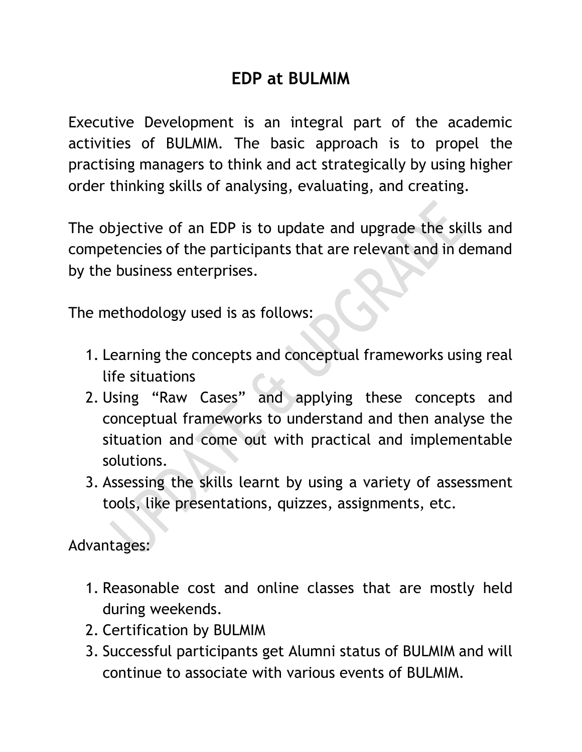# EDP at BULMIM

Executive Development is an integral part of the academic activities of BULMIM. The basic approach is to propel the practising managers to think and act strategically by using higher order thinking skills of analysing, evaluating, and creating.

The objective of an EDP is to update and upgrade the skills and competencies of the participants that are relevant and in demand by the business enterprises.

The methodology used is as follows:

- 1. Learning the concepts and conceptual frameworks using real life situations
- 2. Using "Raw Cases" and applying these concepts and conceptual frameworks to understand and then analyse the situation and come out with practical and implementable solutions.
- 3. Assessing the skills learnt by using a variety of assessment tools, like presentations, quizzes, assignments, etc.

Advantages:

- 1. Reasonable cost and online classes that are mostly held during weekends.
- 2. Certification by BULMIM
- 3. Successful participants get Alumni status of BULMIM and will continue to associate with various events of BULMIM.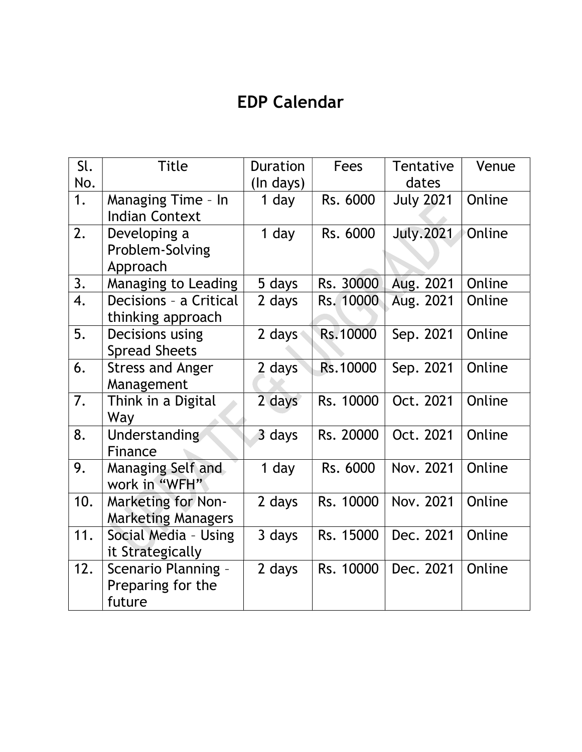# EDP Calendar

| Sl.<br>No. | <b>Title</b>                                           | <b>Duration</b><br>(In days) | <b>Fees</b> | Tentative<br>dates | Venue  |
|------------|--------------------------------------------------------|------------------------------|-------------|--------------------|--------|
| 1.         | Managing Time - In<br><b>Indian Context</b>            | 1 day                        | Rs. 6000    | <b>July 2021</b>   | Online |
| 2.         | Developing a<br>Problem-Solving<br>Approach            | 1 day                        | Rs. 6000    | <b>July.2021</b>   | Online |
| 3.         | Managing to Leading                                    | 5 days                       | Rs. 30000   | Aug. 2021          | Online |
| 4.         | Decisions - a Critical<br>thinking approach            | 2 days                       | Rs. 10000   | Aug. 2021          | Online |
| 5.         | Decisions using<br><b>Spread Sheets</b>                | 2 days                       | Rs.10000    | Sep. 2021          | Online |
| 6.         | <b>Stress and Anger</b><br>Management                  | 2 days                       | Rs.10000    | Sep. 2021          | Online |
| 7.         | Think in a Digital<br>Way                              | 2 days                       | Rs. 10000   | Oct. 2021          | Online |
| 8.         | Understanding<br>Finance                               | 3 days                       | Rs. 20000   | Oct. 2021          | Online |
| 9.         | Managing Self and<br>work in "WFH"                     | 1 day                        | Rs. 6000    | Nov. 2021          | Online |
| 10.        | <b>Marketing for Non-</b><br><b>Marketing Managers</b> | 2 days                       | Rs. 10000   | Nov. 2021          | Online |
| 11.        | Social Media - Using<br>it Strategically               | 3 days                       | Rs. 15000   | Dec. 2021          | Online |
| 12.        | Scenario Planning -<br>Preparing for the<br>future     | 2 days                       | Rs. 10000   | Dec. 2021          | Online |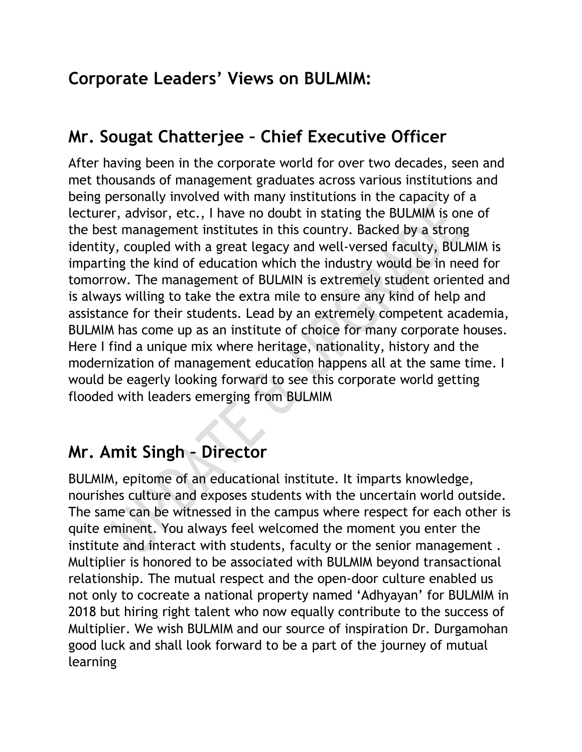# Corporate Leaders' Views on BULMIM:

# Mr. Sougat Chatterjee – Chief Executive Officer

After having been in the corporate world for over two decades, seen and met thousands of management graduates across various institutions and being personally involved with many institutions in the capacity of a lecturer, advisor, etc., I have no doubt in stating the BULMIM is one of the best management institutes in this country. Backed by a strong identity, coupled with a great legacy and well-versed faculty, BULMIM is imparting the kind of education which the industry would be in need for tomorrow. The management of BULMIN is extremely student oriented and is always willing to take the extra mile to ensure any kind of help and assistance for their students. Lead by an extremely competent academia, BULMIM has come up as an institute of choice for many corporate houses. Here I find a unique mix where heritage, nationality, history and the modernization of management education happens all at the same time. I would be eagerly looking forward to see this corporate world getting flooded with leaders emerging from BULMIM

## Mr. Amit Singh – Director

BULMIM, epitome of an educational institute. It imparts knowledge, nourishes culture and exposes students with the uncertain world outside. The same can be witnessed in the campus where respect for each other is quite eminent. You always feel welcomed the moment you enter the institute and interact with students, faculty or the senior management . Multiplier is honored to be associated with BULMIM beyond transactional relationship. The mutual respect and the open-door culture enabled us not only to cocreate a national property named 'Adhyayan' for BULMIM in 2018 but hiring right talent who now equally contribute to the success of Multiplier. We wish BULMIM and our source of inspiration Dr. Durgamohan good luck and shall look forward to be a part of the journey of mutual learning